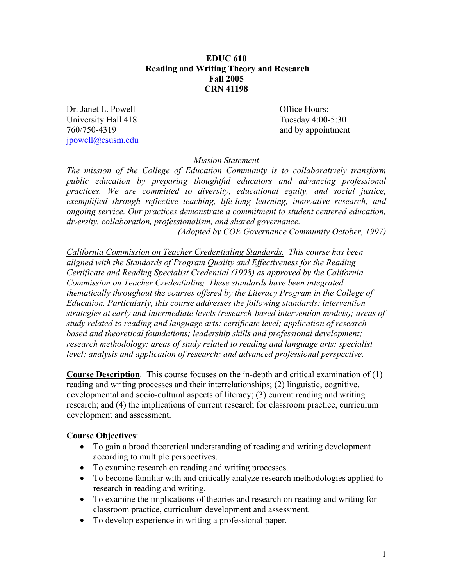### **EDUC 610 Reading and Writing Theory and Research Fall 2005 CRN 41198**

Dr. Janet L. Powell **Office Hours:** University Hall 418 Tuesday 4:00-5:30 760/750-4319 and by appointment jpowell@csusm.edu

*Mission Statement* 

*The mission of the College of Education Community is to collaboratively transform public education by preparing thoughtful educators and advancing professional practices. We are committed to diversity, educational equity, and social justice, exemplified through reflective teaching, life-long learning, innovative research, and ongoing service. Our practices demonstrate a commitment to student centered education, diversity, collaboration, professionalism, and shared governance.* 

*(Adopted by COE Governance Community October, 1997)* 

*California Commission on Teacher Credentialing Standards. This course has been aligned with the Standards of Program Quality and Effectiveness for the Reading Certificate and Reading Specialist Credential (1998) as approved by the California Commission on Teacher Credentialing. These standards have been integrated thematically throughout the courses offered by the Literacy Program in the College of Education. Particularly, this course addresses the following standards: intervention strategies at early and intermediate levels (research-based intervention models); areas of study related to reading and language arts: certificate level; application of researchbased and theoretical foundations; leadership skills and professional development; research methodology; areas of study related to reading and language arts: specialist level; analysis and application of research; and advanced professional perspective.* 

**Course Description**. This course focuses on the in-depth and critical examination of (1) reading and writing processes and their interrelationships; (2) linguistic, cognitive, developmental and socio-cultural aspects of literacy; (3) current reading and writing research; and (4) the implications of current research for classroom practice, curriculum development and assessment.

## **Course Objectives**:

- To gain a broad theoretical understanding of reading and writing development according to multiple perspectives.
- To examine research on reading and writing processes.
- To become familiar with and critically analyze research methodologies applied to research in reading and writing.
- To examine the implications of theories and research on reading and writing for classroom practice, curriculum development and assessment.
- To develop experience in writing a professional paper.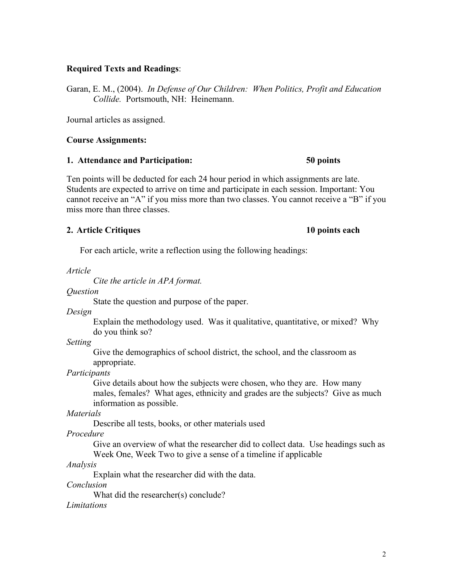### **Required Texts and Readings**:

Garan, E. M., (2004). *In Defense of Our Children: When Politics, Profit and Education Collide.* Portsmouth, NH: Heinemann.

Journal articles as assigned.

### **Course Assignments:**

### **1. Attendance and Participation: 50 points**

Ten points will be deducted for each 24 hour period in which assignments are late. Students are expected to arrive on time and participate in each session. Important: You cannot receive an "A" if you miss more than two classes. You cannot receive a "B" if you miss more than three classes.

## **2. Article Critiques 10 points each**

For each article, write a reflection using the following headings:

*Article* 

 *Cite the article in APA format.* 

*Question*

State the question and purpose of the paper.

*Design*

Explain the methodology used. Was it qualitative, quantitative, or mixed? Why do you think so?

*Setting*

Give the demographics of school district, the school, and the classroom as appropriate.

*Participants* 

Give details about how the subjects were chosen, who they are. How many males, females? What ages, ethnicity and grades are the subjects? Give as much information as possible.

*Materials* 

Describe all tests, books, or other materials used

*Procedure* 

Give an overview of what the researcher did to collect data. Use headings such as Week One, Week Two to give a sense of a timeline if applicable

## *Analysis*

Explain what the researcher did with the data.

*Conclusion* 

What did the researcher(s) conclude?

*Limitations*